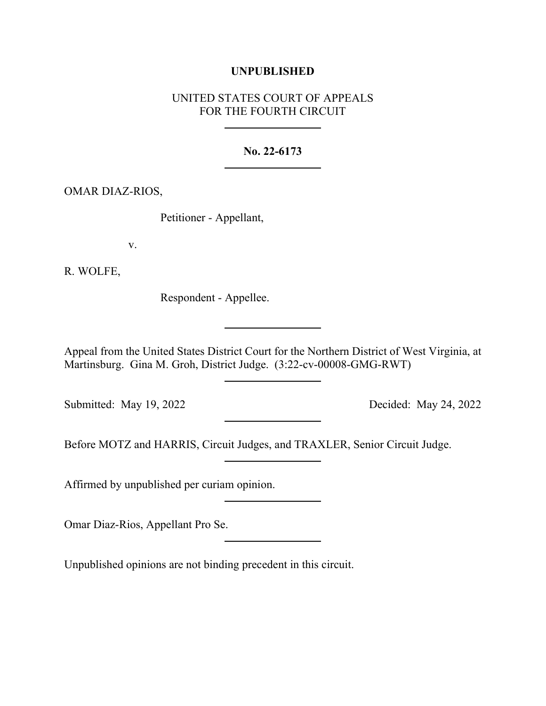## **UNPUBLISHED**

# UNITED STATES COURT OF APPEALS FOR THE FOURTH CIRCUIT

### **No. 22-6173**

#### OMAR DIAZ-RIOS,

Petitioner - Appellant,

v.

R. WOLFE,

Respondent - Appellee.

Appeal from the United States District Court for the Northern District of West Virginia, at Martinsburg. Gina M. Groh, District Judge. (3:22-cv-00008-GMG-RWT)

Submitted: May 19, 2022 Decided: May 24, 2022

Before MOTZ and HARRIS, Circuit Judges, and TRAXLER, Senior Circuit Judge.

Affirmed by unpublished per curiam opinion.

Omar Diaz-Rios, Appellant Pro Se.

Unpublished opinions are not binding precedent in this circuit.